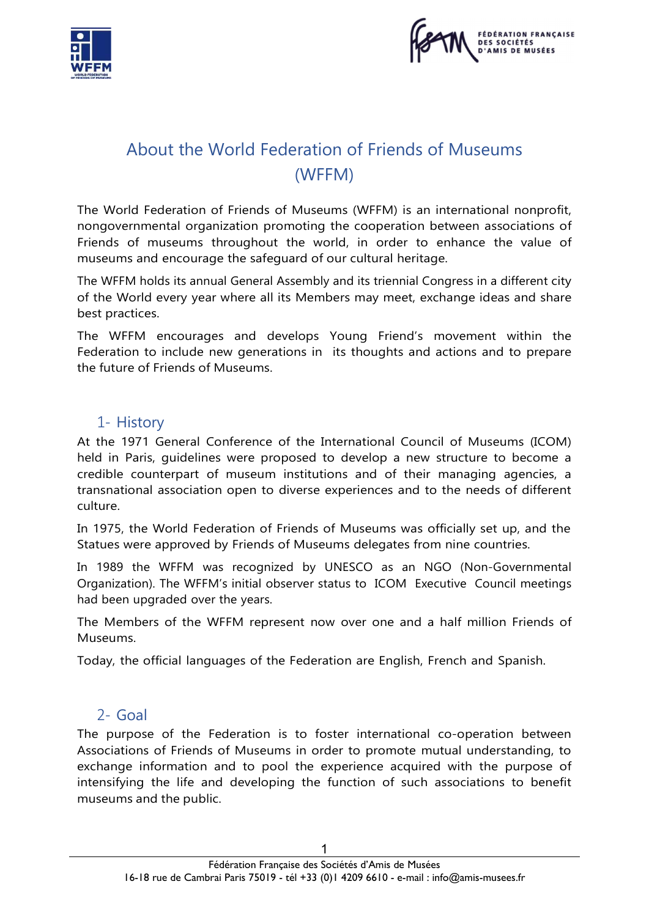



# About the World Federation of Friends of Museums (WFFM)

The World Federation of Friends of Museums (WFFM) is an international nonprofit, nongovernmental organization promoting the cooperation between associations of Friends of museums throughout the world, in order to enhance the value of museums and encourage the safeguard of our cultural heritage.

The WFFM holds its annual General Assembly and its triennial Congress in a different city of the World every year where all its Members may meet, exchange ideas and share best practices.

The WFFM encourages and develops Young Friend's movement within the Federation to include new generations in its thoughts and actions and to prepare the future of Friends of Museums.

## 1- History

At the 1971 General Conference of the International Council of Museums (ICOM) held in Paris, guidelines were proposed to develop a new structure to become a credible counterpart of museum institutions and of their managing agencies, a transnational association open to diverse experiences and to the needs of different culture.

In 1975, the World Federation of Friends of Museums was officially set up, and the Statues were approved by Friends of Museums delegates from nine countries.

In 1989 the WFFM was recognized by UNESCO as an NGO (Non-Governmental Organization). The WFFM's initial observer status to ICOM Executive Council meetings had been upgraded over the years.

The Members of the WFFM represent now over one and a half million Friends of Museums.

Today, the official languages of the Federation are English, French and Spanish.

#### 2- Goal

The purpose of the Federation is to foster international co-operation between Associations of Friends of Museums in order to promote mutual understanding, to exchange information and to pool the experience acquired with the purpose of intensifying the life and developing the function of such associations to benefit museums and the public.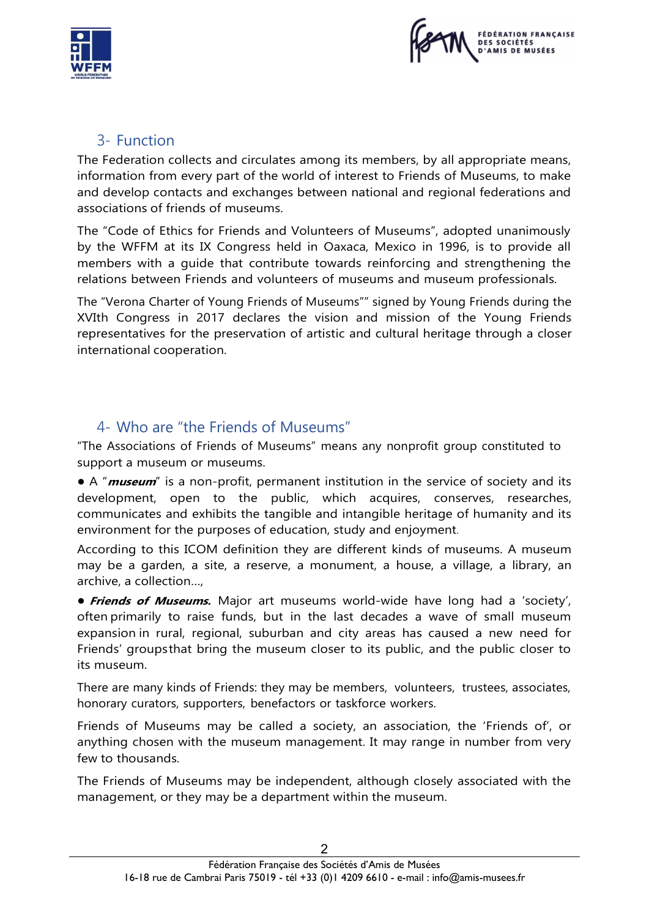



## 3- Function

The Federation collects and circulates among its members, by all appropriate means, information from every part of the world of interest to Friends of Museums, to make and develop contacts and exchanges between national and regional federations and associations of friends of museums.

The "Code of Ethics for Friends and Volunteers of Museums", adopted unanimously by the WFFM at its IX Congress held in Oaxaca, Mexico in 1996, is to provide all members with a guide that contribute towards reinforcing and strengthening the relations between Friends and volunteers of museums and museum professionals.

The "Verona Charter of Young Friends of Museums"" signed by Young Friends during the XVIth Congress in 2017 declares the vision and mission of the Young Friends representatives for the preservation of artistic and cultural heritage through a closer international cooperation.

# 4- Who are "the Friends of Museums"

"The Associations of Friends of Museums" means any nonprofit group constituted to support a museum or museums.

● A "*museum*" is a non-profit, permanent institution in the service of society and its development, open to the public, which acquires, conserves, researches, communicates and exhibits the tangible and intangible heritage of humanity and its environment for the purposes of education, study and enjoyment.

According to this ICOM definition they are different kinds of museums. A museum may be a garden, a site, a reserve, a monument, a house, a village, a library, an archive, a collection…,

**• Friends of Museums.** Major art museums world-wide have long had a 'society', often primarily to raise funds, but in the last decades a wave of small museum expansion in rural, regional, suburban and city areas has caused a new need for Friends' groups that bring the museum closer to its public, and the public closer to its museum.

There are many kinds of Friends: they may be members, volunteers, trustees, associates, honorary curators, supporters, benefactors or taskforce workers.

Friends of Museums may be called a society, an association, the 'Friends of', or anything chosen with the museum management. It may range in number from very few to thousands.

The Friends of Museums may be independent, although closely associated with the management, or they may be a department within the museum.